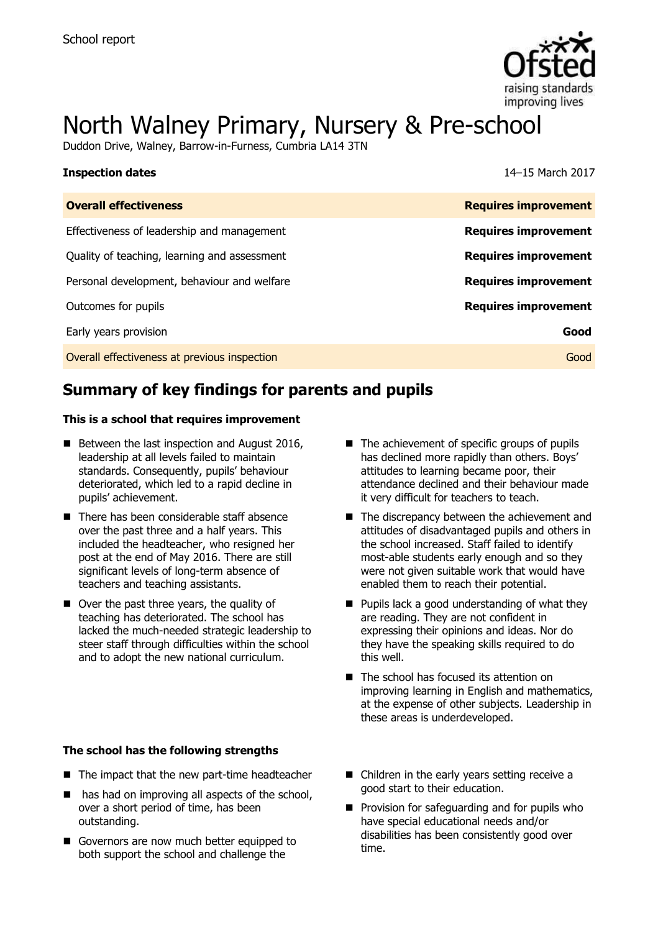

# North Walney Primary, Nursery & Pre-school

Duddon Drive, Walney, Barrow-in-Furness, Cumbria LA14 3TN

| <b>Inspection dates</b>                      | 14–15 March 2017            |
|----------------------------------------------|-----------------------------|
| <b>Overall effectiveness</b>                 | <b>Requires improvement</b> |
| Effectiveness of leadership and management   | <b>Requires improvement</b> |
| Quality of teaching, learning and assessment | <b>Requires improvement</b> |
| Personal development, behaviour and welfare  | <b>Requires improvement</b> |
| Outcomes for pupils                          | <b>Requires improvement</b> |
| Early years provision                        | Good                        |
| Overall effectiveness at previous inspection | Good                        |

# **Summary of key findings for parents and pupils**

#### **This is a school that requires improvement**

- $\blacksquare$  Between the last inspection and August 2016, leadership at all levels failed to maintain standards. Consequently, pupils' behaviour deteriorated, which led to a rapid decline in pupils' achievement.
- There has been considerable staff absence over the past three and a half years. This included the headteacher, who resigned her post at the end of May 2016. There are still significant levels of long-term absence of teachers and teaching assistants.
- Over the past three years, the quality of teaching has deteriorated. The school has lacked the much-needed strategic leadership to steer staff through difficulties within the school and to adopt the new national curriculum.
- $\blacksquare$  The achievement of specific groups of pupils has declined more rapidly than others. Boys' attitudes to learning became poor, their attendance declined and their behaviour made it very difficult for teachers to teach.
- The discrepancy between the achievement and attitudes of disadvantaged pupils and others in the school increased. Staff failed to identify most-able students early enough and so they were not given suitable work that would have enabled them to reach their potential.
- $\blacksquare$  Pupils lack a good understanding of what they are reading. They are not confident in expressing their opinions and ideas. Nor do they have the speaking skills required to do this well.
- The school has focused its attention on improving learning in English and mathematics, at the expense of other subjects. Leadership in these areas is underdeveloped.

#### **The school has the following strengths**

- The impact that the new part-time headteacher
- has had on improving all aspects of the school, over a short period of time, has been outstanding.
- Governors are now much better equipped to both support the school and challenge the
- Children in the early years setting receive a good start to their education.
- $\blacksquare$  Provision for safeguarding and for pupils who have special educational needs and/or disabilities has been consistently good over time.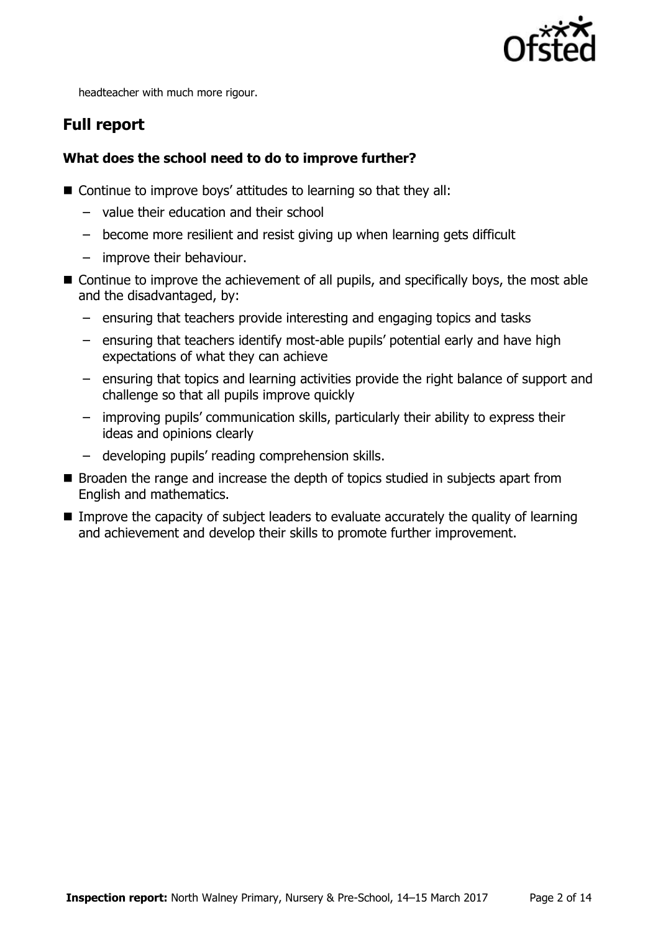

headteacher with much more rigour.

# **Full report**

### **What does the school need to do to improve further?**

- Continue to improve boys' attitudes to learning so that they all:
	- value their education and their school
	- become more resilient and resist giving up when learning gets difficult
	- improve their behaviour.
- Continue to improve the achievement of all pupils, and specifically boys, the most able and the disadvantaged, by:
	- ensuring that teachers provide interesting and engaging topics and tasks
	- ensuring that teachers identify most-able pupils' potential early and have high expectations of what they can achieve
	- ensuring that topics and learning activities provide the right balance of support and challenge so that all pupils improve quickly
	- improving pupils' communication skills, particularly their ability to express their ideas and opinions clearly
	- developing pupils' reading comprehension skills.
- Broaden the range and increase the depth of topics studied in subjects apart from English and mathematics.
- **IMPROVE THE CAPACITY OF Subject leaders to evaluate accurately the quality of learning** and achievement and develop their skills to promote further improvement.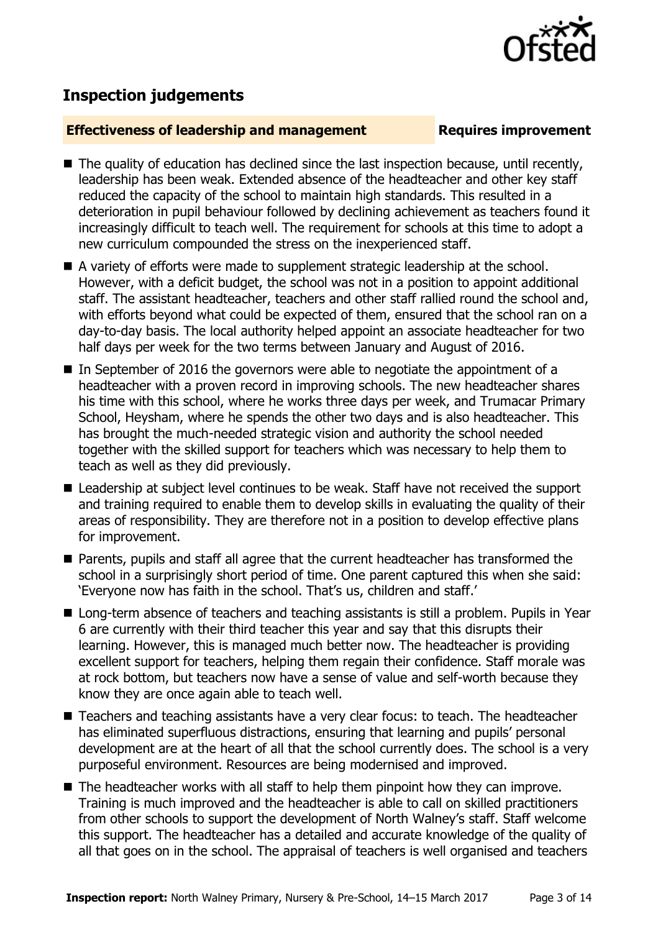

## **Inspection judgements**

#### **Effectiveness of leadership and management Requires improvement**

- The quality of education has declined since the last inspection because, until recently, leadership has been weak. Extended absence of the headteacher and other key staff reduced the capacity of the school to maintain high standards. This resulted in a deterioration in pupil behaviour followed by declining achievement as teachers found it increasingly difficult to teach well. The requirement for schools at this time to adopt a new curriculum compounded the stress on the inexperienced staff.
- A variety of efforts were made to supplement strategic leadership at the school. However, with a deficit budget, the school was not in a position to appoint additional staff. The assistant headteacher, teachers and other staff rallied round the school and, with efforts beyond what could be expected of them, ensured that the school ran on a day-to-day basis. The local authority helped appoint an associate headteacher for two half days per week for the two terms between January and August of 2016.
- In September of 2016 the governors were able to negotiate the appointment of a headteacher with a proven record in improving schools. The new headteacher shares his time with this school, where he works three days per week, and Trumacar Primary School, Heysham, where he spends the other two days and is also headteacher. This has brought the much-needed strategic vision and authority the school needed together with the skilled support for teachers which was necessary to help them to teach as well as they did previously.
- Leadership at subject level continues to be weak. Staff have not received the support and training required to enable them to develop skills in evaluating the quality of their areas of responsibility. They are therefore not in a position to develop effective plans for improvement.
- Parents, pupils and staff all agree that the current headteacher has transformed the school in a surprisingly short period of time. One parent captured this when she said: 'Everyone now has faith in the school. That's us, children and staff.'
- Long-term absence of teachers and teaching assistants is still a problem. Pupils in Year 6 are currently with their third teacher this year and say that this disrupts their learning. However, this is managed much better now. The headteacher is providing excellent support for teachers, helping them regain their confidence. Staff morale was at rock bottom, but teachers now have a sense of value and self-worth because they know they are once again able to teach well.
- Teachers and teaching assistants have a very clear focus: to teach. The headteacher has eliminated superfluous distractions, ensuring that learning and pupils' personal development are at the heart of all that the school currently does. The school is a very purposeful environment. Resources are being modernised and improved.
- $\blacksquare$  The headteacher works with all staff to help them pinpoint how they can improve. Training is much improved and the headteacher is able to call on skilled practitioners from other schools to support the development of North Walney's staff. Staff welcome this support. The headteacher has a detailed and accurate knowledge of the quality of all that goes on in the school. The appraisal of teachers is well organised and teachers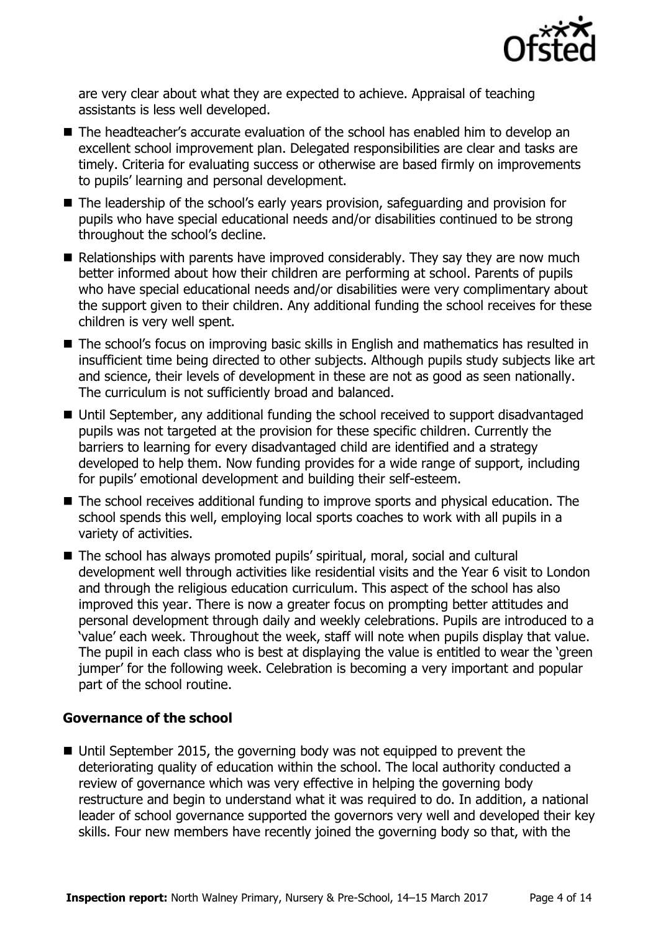

are very clear about what they are expected to achieve. Appraisal of teaching assistants is less well developed.

- The headteacher's accurate evaluation of the school has enabled him to develop an excellent school improvement plan. Delegated responsibilities are clear and tasks are timely. Criteria for evaluating success or otherwise are based firmly on improvements to pupils' learning and personal development.
- The leadership of the school's early years provision, safeguarding and provision for pupils who have special educational needs and/or disabilities continued to be strong throughout the school's decline.
- Relationships with parents have improved considerably. They say they are now much better informed about how their children are performing at school. Parents of pupils who have special educational needs and/or disabilities were very complimentary about the support given to their children. Any additional funding the school receives for these children is very well spent.
- The school's focus on improving basic skills in English and mathematics has resulted in insufficient time being directed to other subjects. Although pupils study subjects like art and science, their levels of development in these are not as good as seen nationally. The curriculum is not sufficiently broad and balanced.
- Until September, any additional funding the school received to support disadvantaged pupils was not targeted at the provision for these specific children. Currently the barriers to learning for every disadvantaged child are identified and a strategy developed to help them. Now funding provides for a wide range of support, including for pupils' emotional development and building their self-esteem.
- The school receives additional funding to improve sports and physical education. The school spends this well, employing local sports coaches to work with all pupils in a variety of activities.
- The school has always promoted pupils' spiritual, moral, social and cultural development well through activities like residential visits and the Year 6 visit to London and through the religious education curriculum. This aspect of the school has also improved this year. There is now a greater focus on prompting better attitudes and personal development through daily and weekly celebrations. Pupils are introduced to a 'value' each week. Throughout the week, staff will note when pupils display that value. The pupil in each class who is best at displaying the value is entitled to wear the 'green jumper' for the following week. Celebration is becoming a very important and popular part of the school routine.

### **Governance of the school**

■ Until September 2015, the governing body was not equipped to prevent the deteriorating quality of education within the school. The local authority conducted a review of governance which was very effective in helping the governing body restructure and begin to understand what it was required to do. In addition, a national leader of school governance supported the governors very well and developed their key skills. Four new members have recently joined the governing body so that, with the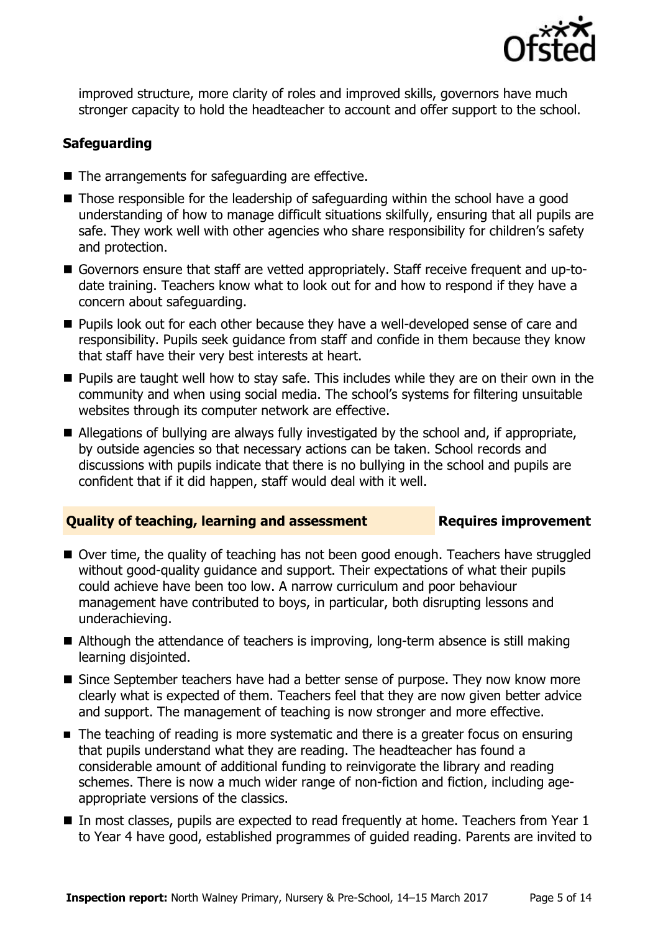

improved structure, more clarity of roles and improved skills, governors have much stronger capacity to hold the headteacher to account and offer support to the school.

### **Safeguarding**

- $\blacksquare$  The arrangements for safeguarding are effective.
- Those responsible for the leadership of safeguarding within the school have a good understanding of how to manage difficult situations skilfully, ensuring that all pupils are safe. They work well with other agencies who share responsibility for children's safety and protection.
- Governors ensure that staff are vetted appropriately. Staff receive frequent and up-todate training. Teachers know what to look out for and how to respond if they have a concern about safeguarding.
- **Pupils look out for each other because they have a well-developed sense of care and** responsibility. Pupils seek guidance from staff and confide in them because they know that staff have their very best interests at heart.
- **Pupils are taught well how to stay safe. This includes while they are on their own in the** community and when using social media. The school's systems for filtering unsuitable websites through its computer network are effective.
- Allegations of bullying are always fully investigated by the school and, if appropriate, by outside agencies so that necessary actions can be taken. School records and discussions with pupils indicate that there is no bullying in the school and pupils are confident that if it did happen, staff would deal with it well.

#### **Quality of teaching, learning and assessment Requires improvement**

- Over time, the quality of teaching has not been good enough. Teachers have struggled without good-quality guidance and support. Their expectations of what their pupils could achieve have been too low. A narrow curriculum and poor behaviour management have contributed to boys, in particular, both disrupting lessons and underachieving.
- Although the attendance of teachers is improving, long-term absence is still making learning disjointed.
- Since September teachers have had a better sense of purpose. They now know more clearly what is expected of them. Teachers feel that they are now given better advice and support. The management of teaching is now stronger and more effective.
- The teaching of reading is more systematic and there is a greater focus on ensuring that pupils understand what they are reading. The headteacher has found a considerable amount of additional funding to reinvigorate the library and reading schemes. There is now a much wider range of non-fiction and fiction, including ageappropriate versions of the classics.
- In most classes, pupils are expected to read frequently at home. Teachers from Year 1 to Year 4 have good, established programmes of guided reading. Parents are invited to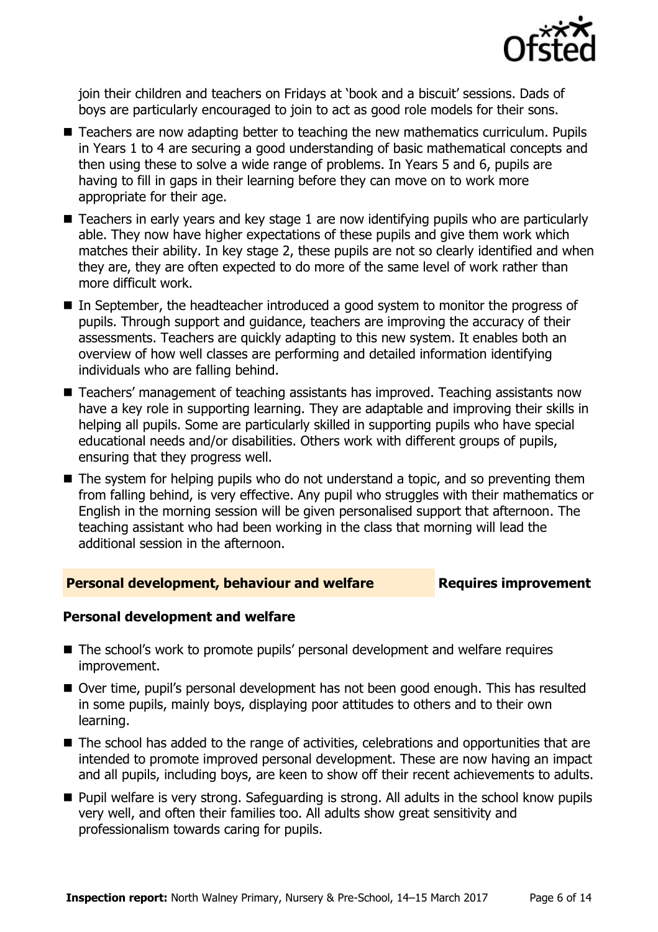

join their children and teachers on Fridays at 'book and a biscuit' sessions. Dads of boys are particularly encouraged to join to act as good role models for their sons.

- Teachers are now adapting better to teaching the new mathematics curriculum. Pupils in Years 1 to 4 are securing a good understanding of basic mathematical concepts and then using these to solve a wide range of problems. In Years 5 and 6, pupils are having to fill in gaps in their learning before they can move on to work more appropriate for their age.
- Teachers in early years and key stage 1 are now identifying pupils who are particularly able. They now have higher expectations of these pupils and give them work which matches their ability. In key stage 2, these pupils are not so clearly identified and when they are, they are often expected to do more of the same level of work rather than more difficult work.
- In September, the headteacher introduced a good system to monitor the progress of pupils. Through support and guidance, teachers are improving the accuracy of their assessments. Teachers are quickly adapting to this new system. It enables both an overview of how well classes are performing and detailed information identifying individuals who are falling behind.
- Teachers' management of teaching assistants has improved. Teaching assistants now have a key role in supporting learning. They are adaptable and improving their skills in helping all pupils. Some are particularly skilled in supporting pupils who have special educational needs and/or disabilities. Others work with different groups of pupils, ensuring that they progress well.
- The system for helping pupils who do not understand a topic, and so preventing them from falling behind, is very effective. Any pupil who struggles with their mathematics or English in the morning session will be given personalised support that afternoon. The teaching assistant who had been working in the class that morning will lead the additional session in the afternoon.

#### **Personal development, behaviour and welfare <b>Requires improvement**

### **Personal development and welfare**

- The school's work to promote pupils' personal development and welfare requires improvement.
- Over time, pupil's personal development has not been good enough. This has resulted in some pupils, mainly boys, displaying poor attitudes to others and to their own learning.
- The school has added to the range of activities, celebrations and opportunities that are intended to promote improved personal development. These are now having an impact and all pupils, including boys, are keen to show off their recent achievements to adults.
- Pupil welfare is very strong. Safeguarding is strong. All adults in the school know pupils very well, and often their families too. All adults show great sensitivity and professionalism towards caring for pupils.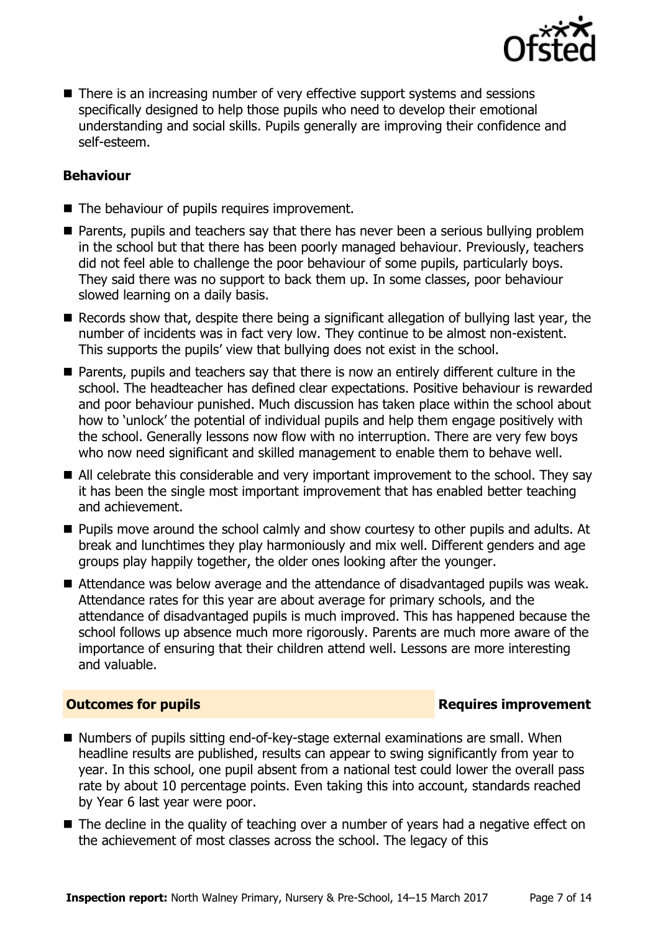

■ There is an increasing number of very effective support systems and sessions specifically designed to help those pupils who need to develop their emotional understanding and social skills. Pupils generally are improving their confidence and self-esteem.

#### **Behaviour**

- The behaviour of pupils requires improvement.
- **Parents, pupils and teachers say that there has never been a serious bullying problem** in the school but that there has been poorly managed behaviour. Previously, teachers did not feel able to challenge the poor behaviour of some pupils, particularly boys. They said there was no support to back them up. In some classes, poor behaviour slowed learning on a daily basis.
- Records show that, despite there being a significant allegation of bullying last year, the number of incidents was in fact very low. They continue to be almost non-existent. This supports the pupils' view that bullying does not exist in the school.
- Parents, pupils and teachers say that there is now an entirely different culture in the school. The headteacher has defined clear expectations. Positive behaviour is rewarded and poor behaviour punished. Much discussion has taken place within the school about how to 'unlock' the potential of individual pupils and help them engage positively with the school. Generally lessons now flow with no interruption. There are very few boys who now need significant and skilled management to enable them to behave well.
- All celebrate this considerable and very important improvement to the school. They say it has been the single most important improvement that has enabled better teaching and achievement.
- **Pupils move around the school calmly and show courtesy to other pupils and adults. At** break and lunchtimes they play harmoniously and mix well. Different genders and age groups play happily together, the older ones looking after the younger.
- Attendance was below average and the attendance of disadvantaged pupils was weak. Attendance rates for this year are about average for primary schools, and the attendance of disadvantaged pupils is much improved. This has happened because the school follows up absence much more rigorously. Parents are much more aware of the importance of ensuring that their children attend well. Lessons are more interesting and valuable.

#### **Outcomes for pupils Requires improvement**

- Numbers of pupils sitting end-of-key-stage external examinations are small. When headline results are published, results can appear to swing significantly from year to year. In this school, one pupil absent from a national test could lower the overall pass rate by about 10 percentage points. Even taking this into account, standards reached by Year 6 last year were poor.
- The decline in the quality of teaching over a number of years had a negative effect on the achievement of most classes across the school. The legacy of this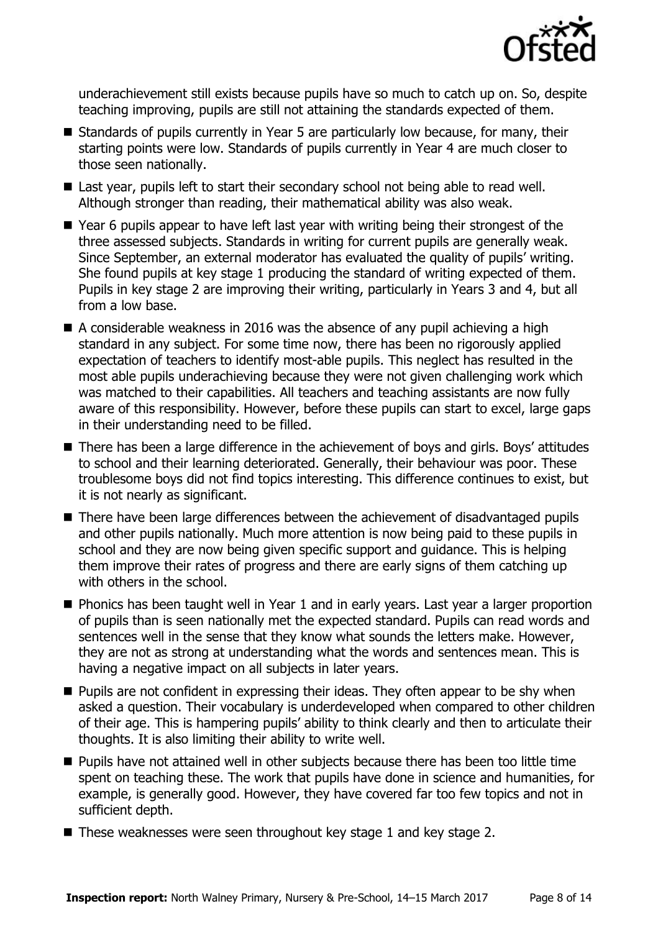

underachievement still exists because pupils have so much to catch up on. So, despite teaching improving, pupils are still not attaining the standards expected of them.

- Standards of pupils currently in Year 5 are particularly low because, for many, their starting points were low. Standards of pupils currently in Year 4 are much closer to those seen nationally.
- Last year, pupils left to start their secondary school not being able to read well. Although stronger than reading, their mathematical ability was also weak.
- Year 6 pupils appear to have left last year with writing being their strongest of the three assessed subjects. Standards in writing for current pupils are generally weak. Since September, an external moderator has evaluated the quality of pupils' writing. She found pupils at key stage 1 producing the standard of writing expected of them. Pupils in key stage 2 are improving their writing, particularly in Years 3 and 4, but all from a low base.
- $\blacksquare$  A considerable weakness in 2016 was the absence of any pupil achieving a high standard in any subject. For some time now, there has been no rigorously applied expectation of teachers to identify most-able pupils. This neglect has resulted in the most able pupils underachieving because they were not given challenging work which was matched to their capabilities. All teachers and teaching assistants are now fully aware of this responsibility. However, before these pupils can start to excel, large gaps in their understanding need to be filled.
- There has been a large difference in the achievement of boys and girls. Boys' attitudes to school and their learning deteriorated. Generally, their behaviour was poor. These troublesome boys did not find topics interesting. This difference continues to exist, but it is not nearly as significant.
- There have been large differences between the achievement of disadvantaged pupils and other pupils nationally. Much more attention is now being paid to these pupils in school and they are now being given specific support and guidance. This is helping them improve their rates of progress and there are early signs of them catching up with others in the school.
- **Phonics has been taught well in Year 1 and in early years. Last year a larger proportion** of pupils than is seen nationally met the expected standard. Pupils can read words and sentences well in the sense that they know what sounds the letters make. However, they are not as strong at understanding what the words and sentences mean. This is having a negative impact on all subjects in later years.
- $\blacksquare$  Pupils are not confident in expressing their ideas. They often appear to be shy when asked a question. Their vocabulary is underdeveloped when compared to other children of their age. This is hampering pupils' ability to think clearly and then to articulate their thoughts. It is also limiting their ability to write well.
- **Pupils have not attained well in other subjects because there has been too little time** spent on teaching these. The work that pupils have done in science and humanities, for example, is generally good. However, they have covered far too few topics and not in sufficient depth.
- These weaknesses were seen throughout key stage 1 and key stage 2.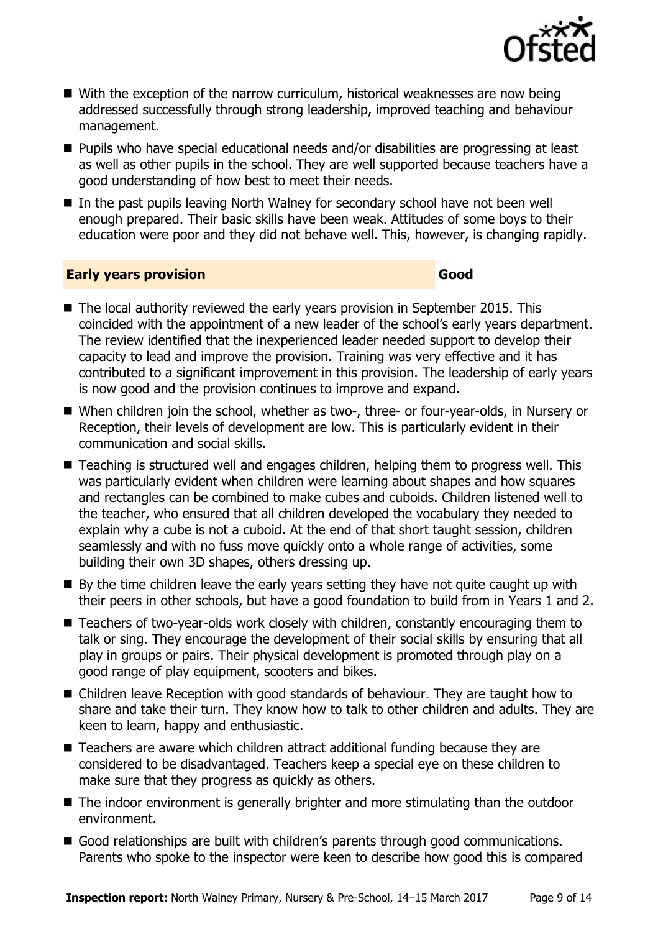

- With the exception of the narrow curriculum, historical weaknesses are now being addressed successfully through strong leadership, improved teaching and behaviour management.
- Pupils who have special educational needs and/or disabilities are progressing at least as well as other pupils in the school. They are well supported because teachers have a good understanding of how best to meet their needs.
- In the past pupils leaving North Walney for secondary school have not been well enough prepared. Their basic skills have been weak. Attitudes of some boys to their education were poor and they did not behave well. This, however, is changing rapidly.

#### **Early years provision Good Good**

- The local authority reviewed the early years provision in September 2015. This coincided with the appointment of a new leader of the school's early years department. The review identified that the inexperienced leader needed support to develop their capacity to lead and improve the provision. Training was very effective and it has contributed to a significant improvement in this provision. The leadership of early years is now good and the provision continues to improve and expand.
- When children join the school, whether as two-, three- or four-year-olds, in Nursery or Reception, their levels of development are low. This is particularly evident in their communication and social skills.
- Teaching is structured well and engages children, helping them to progress well. This was particularly evident when children were learning about shapes and how squares and rectangles can be combined to make cubes and cuboids. Children listened well to the teacher, who ensured that all children developed the vocabulary they needed to explain why a cube is not a cuboid. At the end of that short taught session, children seamlessly and with no fuss move quickly onto a whole range of activities, some building their own 3D shapes, others dressing up.
- $\blacksquare$  By the time children leave the early years setting they have not quite caught up with their peers in other schools, but have a good foundation to build from in Years 1 and 2.
- Teachers of two-year-olds work closely with children, constantly encouraging them to talk or sing. They encourage the development of their social skills by ensuring that all play in groups or pairs. Their physical development is promoted through play on a good range of play equipment, scooters and bikes.
- Children leave Reception with good standards of behaviour. They are taught how to share and take their turn. They know how to talk to other children and adults. They are keen to learn, happy and enthusiastic.
- Teachers are aware which children attract additional funding because they are considered to be disadvantaged. Teachers keep a special eye on these children to make sure that they progress as quickly as others.
- The indoor environment is generally brighter and more stimulating than the outdoor environment.
- Good relationships are built with children's parents through good communications. Parents who spoke to the inspector were keen to describe how good this is compared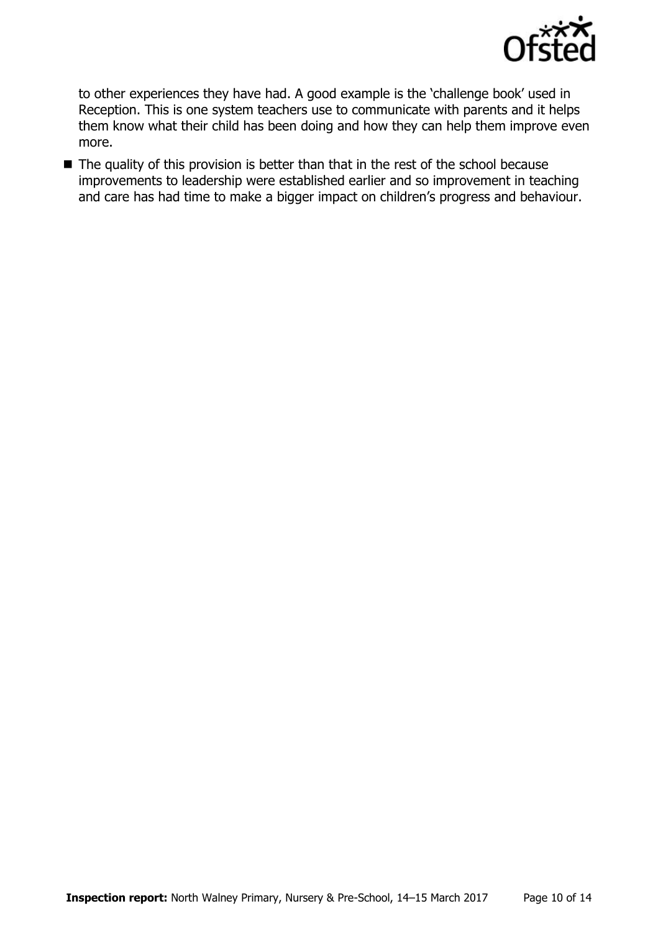

to other experiences they have had. A good example is the 'challenge book' used in Reception. This is one system teachers use to communicate with parents and it helps them know what their child has been doing and how they can help them improve even more.

■ The quality of this provision is better than that in the rest of the school because improvements to leadership were established earlier and so improvement in teaching and care has had time to make a bigger impact on children's progress and behaviour.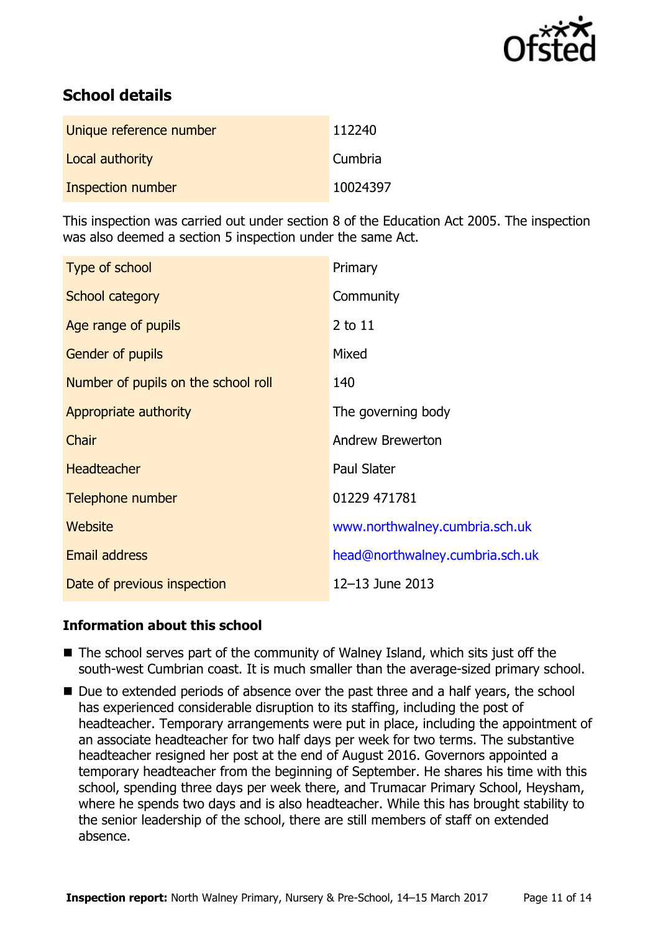

# **School details**

| Unique reference number | 112240   |
|-------------------------|----------|
| Local authority         | Cumbria  |
| Inspection number       | 10024397 |

This inspection was carried out under section 8 of the Education Act 2005. The inspection was also deemed a section 5 inspection under the same Act.

| Type of school                      | Primary                         |
|-------------------------------------|---------------------------------|
| School category                     | Community                       |
| Age range of pupils                 | 2 to 11                         |
| Gender of pupils                    | Mixed                           |
| Number of pupils on the school roll | 140                             |
| Appropriate authority               | The governing body              |
| Chair                               | <b>Andrew Brewerton</b>         |
| <b>Headteacher</b>                  | <b>Paul Slater</b>              |
| Telephone number                    | 01229 471781                    |
| <b>Website</b>                      | www.northwalney.cumbria.sch.uk  |
| <b>Email address</b>                | head@northwalney.cumbria.sch.uk |
| Date of previous inspection         | 12-13 June 2013                 |

### **Information about this school**

- $\blacksquare$  The school serves part of the community of Walney Island, which sits just off the south-west Cumbrian coast. It is much smaller than the average-sized primary school.
- Due to extended periods of absence over the past three and a half years, the school has experienced considerable disruption to its staffing, including the post of headteacher. Temporary arrangements were put in place, including the appointment of an associate headteacher for two half days per week for two terms. The substantive headteacher resigned her post at the end of August 2016. Governors appointed a temporary headteacher from the beginning of September. He shares his time with this school, spending three days per week there, and Trumacar Primary School, Heysham, where he spends two days and is also headteacher. While this has brought stability to the senior leadership of the school, there are still members of staff on extended absence.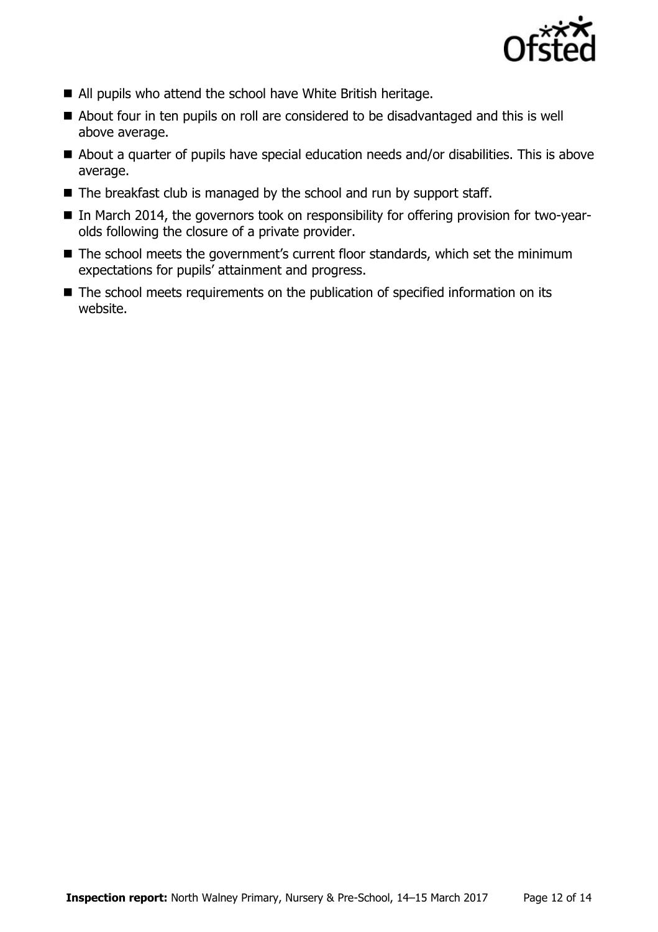

- All pupils who attend the school have White British heritage.
- About four in ten pupils on roll are considered to be disadvantaged and this is well above average.
- About a quarter of pupils have special education needs and/or disabilities. This is above average.
- $\blacksquare$  The breakfast club is managed by the school and run by support staff.
- In March 2014, the governors took on responsibility for offering provision for two-yearolds following the closure of a private provider.
- The school meets the government's current floor standards, which set the minimum expectations for pupils' attainment and progress.
- The school meets requirements on the publication of specified information on its website.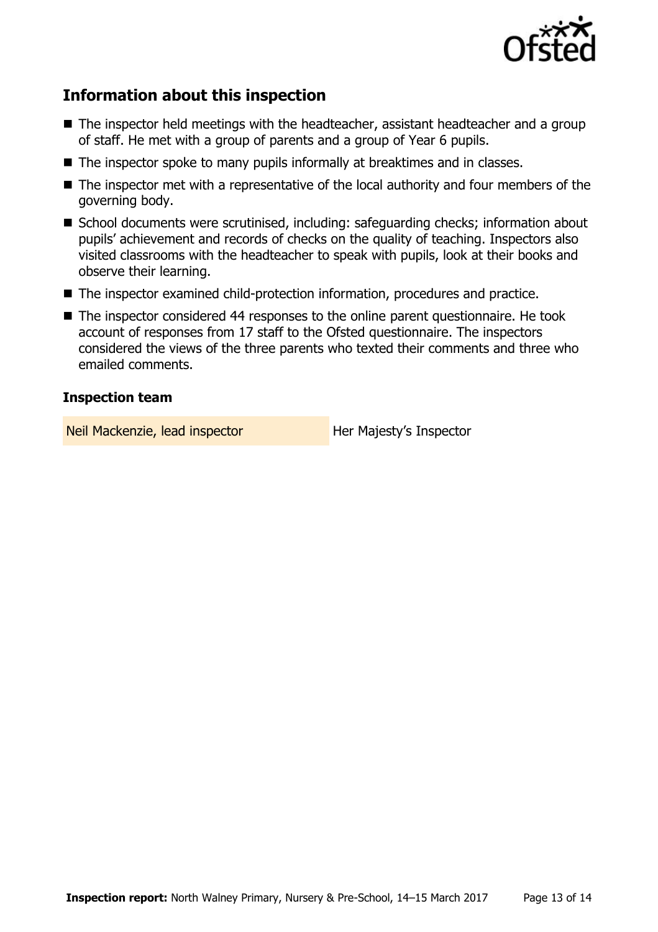

# **Information about this inspection**

- The inspector held meetings with the headteacher, assistant headteacher and a group of staff. He met with a group of parents and a group of Year 6 pupils.
- The inspector spoke to many pupils informally at breaktimes and in classes.
- The inspector met with a representative of the local authority and four members of the governing body.
- School documents were scrutinised, including: safeguarding checks; information about pupils' achievement and records of checks on the quality of teaching. Inspectors also visited classrooms with the headteacher to speak with pupils, look at their books and observe their learning.
- The inspector examined child-protection information, procedures and practice.
- The inspector considered 44 responses to the online parent questionnaire. He took account of responses from 17 staff to the Ofsted questionnaire. The inspectors considered the views of the three parents who texted their comments and three who emailed comments.

#### **Inspection team**

Neil Mackenzie, lead inspector **Her Majesty's Inspector**